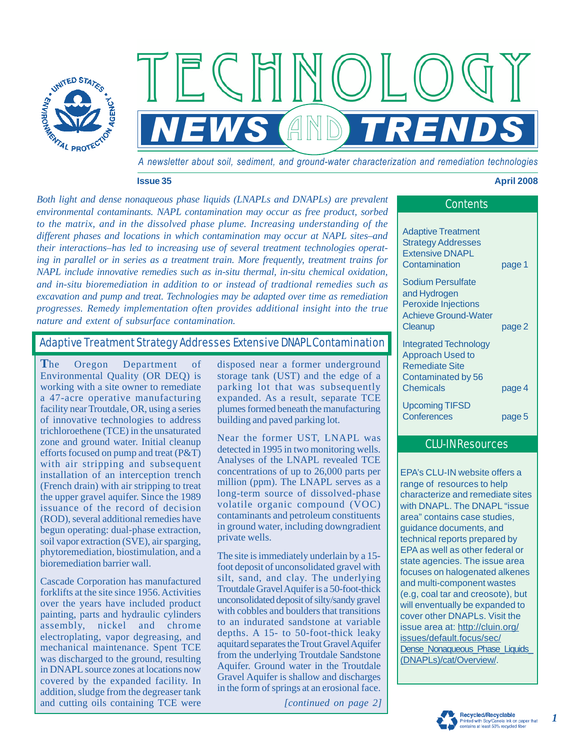

*A newsletter about soil, sediment, and ground-water characterization and remediation technologies* 

 $NEWS$  (AND *TRENDS* 

**Issue 35** 

#### **April 2008**

*Both light and dense nonaqueous phase liquids (LNAPLs and DNAPLs) are prevalent environmental contaminants. NAPL contamination may occur as free product, sorbed to the matrix, and in the dissolved phase plume. Increasing understanding of the different phases and locations in which contamination may occur at NAPL sites–and their interactions–has led to increasing use of several treatment technologies operating in parallel or in series as a treatment train. More frequently, treatment trains for NAPL include innovative remedies such as in-situ thermal, in-situ chemical oxidation, and in-situ bioremediation in addition to or instead of tradtional remedies such as excavation and pump and treat. Technologies may be adapted over time as remediation progresses. Remedy implementation often provides additional insight into the true nature and extent of subsurface contamination.* 

## Adaptive Treatment Strategy Addresses Extensive DNAPL Contamination

**T**he Oregon Department of Environmental Quality (OR DEQ) is working with a site owner to remediate a 47-acre operative manufacturing facility near Troutdale, OR, using a series of innovative technologies to address trichloroethene (TCE) in the unsaturated zone and ground water. Initial cleanup efforts focused on pump and treat (P&T) with air stripping and subsequent installation of an interception trench (French drain) with air stripping to treat the upper gravel aquifer. Since the 1989 issuance of the record of decision (ROD), several additional remedies have begun operating: dual-phase extraction, soil vapor extraction (SVE), air sparging, phytoremediation, biostimulation, and a bioremediation barrier wall.

Cascade Corporation has manufactured forklifts at the site since 1956. Activities over the years have included product painting, parts and hydraulic cylinders assembly, nickel and chrome electroplating, vapor degreasing, and mechanical maintenance. Spent TCE was discharged to the ground, resulting in DNAPL source zones at locations now covered by the expanded facility. In addition, sludge from the degreaser tank and cutting oils containing TCE were

disposed near a former underground storage tank (UST) and the edge of a parking lot that was subsequently expanded. As a result, separate TCE plumes formed beneath the manufacturing building and paved parking lot.

Near the former UST, LNAPL was detected in 1995 in two monitoring wells. Analyses of the LNAPL revealed TCE concentrations of up to 26,000 parts per million (ppm). The LNAPL serves as a long-term source of dissolved-phase volatile organic compound (VOC) contaminants and petroleum constituents in ground water, including downgradient private wells.

The site is immediately underlain by a 15 foot deposit of unconsolidated gravel with silt, sand, and clay. The underlying Troutdale Gravel Aquifer is a 50-foot-thick unconsolidated deposit of silty/sandy gravel with cobbles and boulders that transitions to an indurated sandstone at variable depths. A 15- to 50-foot-thick leaky aquitard separates the Trout Gravel Aquifer from the underlying Troutdale Sandstone Aquifer. Ground water in the Troutdale Gravel Aquifer is shallow and discharges in the form of springs at an erosional face.

*[continued on page 2]* 

| Contents                                                                                                  |                  |
|-----------------------------------------------------------------------------------------------------------|------------------|
| <b>Adaptive Treatment</b><br><b>Strategy Addresses</b><br><b>Extensive DNAPL</b><br>Contamination         | page 1           |
| Sodium Persulfate<br>and Hydrogen<br><b>Peroxide Injections</b><br><b>Achieve Ground-Water</b><br>Cleanup | page 2           |
| <b>Integrated Technology</b><br><b>Approach Used to</b><br><b>Remediate Site</b><br>Contaminated by 56    |                  |
| Chemicals<br><b>Upcoming TIFSD</b><br>Conferences                                                         | page 4<br>page 5 |

## CLU-IN Resources

EPA's CLU-IN website offers a range of resources to help characterize and remediate sites with DNAPL. The DNAPL "issue area" contains case studies, guidance documents, and technical reports prepared by EPA as well as other federal or state agencies. The issue area focuses on halogenated alkenes and multi-component wastes (e.g, coal tar and creosote), but will enventually be expanded to cover other DNAPLs. Visit the issue area at:<http://cluin.org/> issues/default.focus/sec/ Dense Nonaqueous Phase Liquids (DNAPLs)/cat/Overview/.



*1*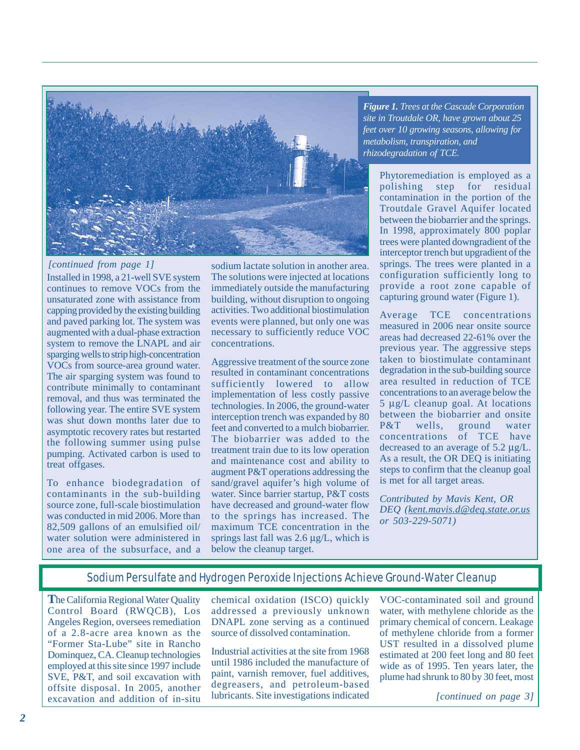

*[continued from page 1]* 

Installed in 1998, a 21-well SVE system continues to remove VOCs from the unsaturated zone with assistance from capping provided by the existing building and paved parking lot. The system was augmented with a dual-phase extraction system to remove the LNAPL and air sparging wells to strip high-concentration VOCs from source-area ground water. The air sparging system was found to contribute minimally to contaminant removal, and thus was terminated the following year. The entire SVE system was shut down months later due to asymptotic recovery rates but restarted the following summer using pulse pumping. Activated carbon is used to treat offgases.

To enhance biodegradation of contaminants in the sub-building source zone, full-scale biostimulation was conducted in mid 2006. More than 82,509 gallons of an emulsified oil/ water solution were administered in one area of the subsurface, and a sodium lactate solution in another area. The solutions were injected at locations immediately outside the manufacturing building, without disruption to ongoing activities. Two additional biostimulation events were planned, but only one was necessary to sufficiently reduce VOC concentrations.

Aggressive treatment of the source zone resulted in contaminant concentrations sufficiently lowered to allow implementation of less costly passive technologies. In 2006, the ground-water interception trench was expanded by 80 feet and converted to a mulch biobarrier. The biobarrier was added to the treatment train due to its low operation and maintenance cost and ability to augment P&T operations addressing the sand/gravel aquifer's high volume of water. Since barrier startup, P&T costs have decreased and ground-water flow to the springs has increased. The maximum TCE concentration in the springs last fall was 2.6 μg/L, which is below the cleanup target.

*Figure 1. Trees at the Cascade Corporation site in Troutdale OR, have grown about 25 feet over 10 growing seasons, allowing for metabolism, transpiration, and rhizodegradation of TCE.* 

Phytoremediation is employed as a polishing step for residual contamination in the portion of the Troutdale Gravel Aquifer located between the biobarrier and the springs. In 1998, approximately 800 poplar trees were planted downgradient of the interceptor trench but upgradient of the springs. The trees were planted in a configuration sufficiently long to provide a root zone capable of capturing ground water (Figure 1).

Average TCE concentrations measured in 2006 near onsite source areas had decreased 22-61% over the previous year. The aggressive steps taken to biostimulate contaminant degradation in the sub-building source area resulted in reduction of TCE concentrations to an average below the 5 μg/L cleanup goal. At locations between the biobarrier and onsite P&T wells, ground water concentrations of TCE have decreased to an average of 5.2 μg/L. As a result, the OR DEQ is initiating steps to confirm that the cleanup goal is met for all target areas.

*Contributed by Mavis Kent, OR DEQ ([kent.mavis.d@deq.state.or.us](mailto:kent.mavis.d@deq.state.or.usor503-229-5071)  [or 503-229-5071\)](mailto:kent.mavis.d@deq.state.or.usor503-229-5071)* 

## Sodium Persulfate and Hydrogen Peroxide Injections Achieve Ground-Water Cleanup

**T**he California Regional Water Quality Control Board (RWQCB), Los Angeles Region, oversees remediation of a 2.8-acre area known as the "Former Sta-Lube" site in Rancho Dominquez, CA. Cleanup technologies employed at this site since 1997 include SVE, P&T, and soil excavation with offsite disposal. In 2005, another excavation and addition of in-situ

chemical oxidation (ISCO) quickly addressed a previously unknown DNAPL zone serving as a continued source of dissolved contamination.

Industrial activities at the site from 1968 until 1986 included the manufacture of paint, varnish remover, fuel additives, degreasers, and petroleum-based lubricants. Site investigations indicated

VOC-contaminated soil and ground water, with methylene chloride as the primary chemical of concern. Leakage of methylene chloride from a former UST resulted in a dissolved plume estimated at 200 feet long and 80 feet wide as of 1995. Ten years later, the plume had shrunk to 80 by 30 feet, most

*[continued on page 3]*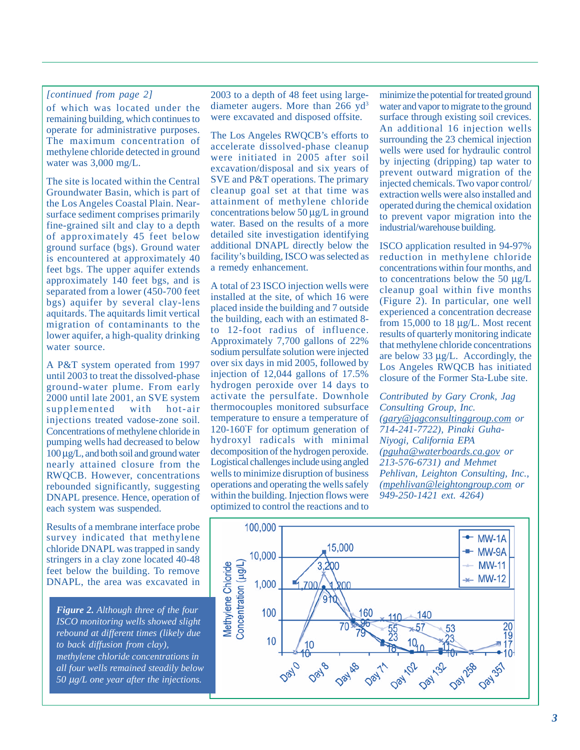### *[continued from page 2]*

of which was located under the remaining building, which continues to operate for administrative purposes. The maximum concentration of methylene chloride detected in ground water was 3,000 mg/L.

The site is located within the Central Groundwater Basin, which is part of the Los Angeles Coastal Plain. Nearsurface sediment comprises primarily fine-grained silt and clay to a depth of approximately 45 feet below ground surface (bgs). Ground water is encountered at approximately 40 feet bgs. The upper aquifer extends approximately 140 feet bgs, and is separated from a lower (450-700 feet bgs) aquifer by several clay-lens aquitards. The aquitards limit vertical migration of contaminants to the lower aquifer, a high-quality drinking water source.

A P&T system operated from 1997 until 2003 to treat the dissolved-phase ground-water plume. From early 2000 until late 2001, an SVE system<br>supplemented with hot-air supplemented with hot-air injections treated vadose-zone soil. Concentrations of methylene chloride in pumping wells had decreased to below 100 μg/L, and both soil and ground water nearly attained closure from the RWQCB. However, concentrations rebounded significantly, suggesting DNAPL presence. Hence, operation of each system was suspended.

Results of a membrane interface probe survey indicated that methylene chloride DNAPL was trapped in sandy stringers in a clay zone located 40-48 feet below the building. To remove DNAPL, the area was excavated in

*Figure 2. Although three of the four ISCO monitoring wells showed slight rebound at different times (likely due to back diffusion from clay), methylene chloride concentrations in all four wells remained steadily below 50* μ*g/L one year after the injections.* 

2003 to a depth of 48 feet using largediameter augers. More than 266 yd<sup>3</sup> were excavated and disposed offsite.

The Los Angeles RWQCB's efforts to accelerate dissolved-phase cleanup were initiated in 2005 after soil excavation/disposal and six years of SVE and P&T operations. The primary cleanup goal set at that time was attainment of methylene chloride concentrations below 50 μg/L in ground water. Based on the results of a more detailed site investigation identifying additional DNAPL directly below the facility's building, ISCO was selected as a remedy enhancement.

A total of 23 ISCO injection wells were installed at the site, of which 16 were placed inside the building and 7 outside the building, each with an estimated 8 to 12-foot radius of influence. Approximately 7,700 gallons of 22% sodium persulfate solution were injected over six days in mid 2005, followed by injection of 12,044 gallons of 17.5% hydrogen peroxide over 14 days to activate the persulfate. Downhole thermocouples monitored subsurface temperature to ensure a temperature of 120-160º F for optimum generation of hydroxyl radicals with minimal decomposition of the hydrogen peroxide. Logistical challenges include using angled wells to minimize disruption of business operations and operating the wells safely within the building. Injection flows were optimized to control the reactions and to

minimize the potential for treated ground water and vapor to migrate to the ground surface through existing soil crevices. An additional 16 injection wells surrounding the 23 chemical injection wells were used for hydraulic control by injecting (dripping) tap water to prevent outward migration of the injected chemicals. Two vapor control/ extraction wells were also installed and operated during the chemical oxidation to prevent vapor migration into the industrial/warehouse building.

ISCO application resulted in 94-97% reduction in methylene chloride concentrations within four months, and to concentrations below the 50 μg/L cleanup goal within five months (Figure 2). In particular, one well experienced a concentration decrease from 15,000 to 18 μg/L. Most recent results of quarterly monitoring indicate that methylene chloride concentrations are below 33 μg/L. Accordingly, the Los Angeles RWQCB has initiated closure of the Former Sta-Lube site.

*Contributed by Gary Cronk, Jag Consulting Group, Inc. [\(gary@jagconsultinggroup.com](mailto:gary@jagconsultinggroup.comor714-241-7722) or [714-241-7722](mailto:gary@jagconsultinggroup.comor714-241-7722)), Pinaki Guha-Niyogi, California EPA [\(pguha@waterboards.ca.gov or](mailto:pguha@waterboards.ca.govor213-576-6731) [213-576-6731\)](mailto:pguha@waterboards.ca.govor213-576-6731) and Mehmet Pehlivan, Leighton Consulting, Inc., [\(mpehlivan@leightongroup.com or](mailto:mpehlivan@leightongroup.comor949-250-1421ext.4264)  [949-250-1421 ext. 4264\)](mailto:mpehlivan@leightongroup.comor949-250-1421ext.4264)* 

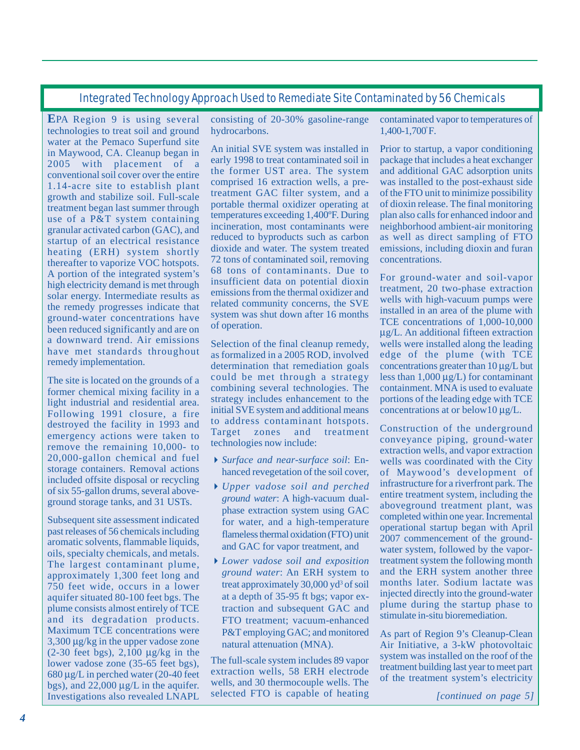# Integrated Technology Approach Used to Remediate Site Contaminated by 56 Chemicals

**E**PA Region 9 is using several technologies to treat soil and ground water at the Pemaco Superfund site in Maywood, CA. Cleanup began in 2005 with placement of a conventional soil cover over the entire 1.14-acre site to establish plant growth and stabilize soil. Full-scale treatment began last summer through use of a P&T system containing granular activated carbon (GAC), and startup of an electrical resistance heating (ERH) system shortly thereafter to vaporize VOC hotspots. A portion of the integrated system's high electricity demand is met through solar energy. Intermediate results as the remedy progresses indicate that ground-water concentrations have been reduced significantly and are on a downward trend. Air emissions have met standards throughout remedy implementation.

The site is located on the grounds of a former chemical mixing facility in a light industrial and residential area. Following 1991 closure, a fire destroyed the facility in 1993 and emergency actions were taken to remove the remaining 10,000- to 20,000-gallon chemical and fuel storage containers. Removal actions included offsite disposal or recycling of six 55-gallon drums, several aboveground storage tanks, and 31 USTs.

Subsequent site assessment indicated past releases of 56 chemicals including aromatic solvents, flammable liquids, oils, specialty chemicals, and metals. The largest contaminant plume, approximately 1,300 feet long and 750 feet wide, occurs in a lower aquifer situated 80-100 feet bgs. The plume consists almost entirely of TCE and its degradation products. Maximum TCE concentrations were 3,300 μg/kg in the upper vadose zone  $(2-30 \text{ feet bgs})$ ,  $2,100 \text{ µg/kg}$  in the lower vadose zone (35-65 feet bgs), 680 μg/L in perched water (20-40 feet bgs), and  $22,000 \mu$ g/L in the aquifer. Investigations also revealed LNAPL

consisting of 20-30% gasoline-range hydrocarbons.

An initial SVE system was installed in early 1998 to treat contaminated soil in the former UST area. The system comprised 16 extraction wells, a pretreatment GAC filter system, and a portable thermal oxidizer operating at temperatures exceeding 1,400ºF. During incineration, most contaminants were reduced to byproducts such as carbon dioxide and water. The system treated 72 tons of contaminated soil, removing 68 tons of contaminants. Due to insufficient data on potential dioxin emissions from the thermal oxidizer and related community concerns, the SVE system was shut down after 16 months of operation.

Selection of the final cleanup remedy, as formalized in a 2005 ROD, involved determination that remediation goals could be met through a strategy combining several technologies. The strategy includes enhancement to the initial SVE system and additional means to address contaminant hotspots. Target zones and treatment technologies now include:

- *Surface and near-surface soil*: Enhanced revegetation of the soil cover,
- *Upper vadose soil and perched ground water*: A high-vacuum dualphase extraction system using GAC for water, and a high-temperature flameless thermal oxidation (FTO) unit and GAC for vapor treatment, and
- *Lower vadose soil and exposition ground water*: An ERH system to treat approximately  $30,000$  yd<sup>3</sup> of soil at a depth of 35-95 ft bgs; vapor extraction and subsequent GAC and FTO treatment; vacuum-enhanced P&T employing GAC; and monitored natural attenuation (MNA).

The full-scale system includes 89 vapor extraction wells, 58 ERH electrode wells, and 30 thermocouple wells. The selected FTO is capable of heating

contaminated vapor to temperatures of 1,400-1,700º F*.* 

Prior to startup, a vapor conditioning package that includes a heat exchanger and additional GAC adsorption units was installed to the post-exhaust side of the FTO unit to minimize possibility of dioxin release. The final monitoring plan also calls for enhanced indoor and neighborhood ambient-air monitoring as well as direct sampling of FTO emissions, including dioxin and furan concentrations.

For ground-water and soil-vapor treatment, 20 two-phase extraction wells with high-vacuum pumps were installed in an area of the plume with TCE concentrations of 1,000-10,000 μg/L. An additional fifteen extraction wells were installed along the leading edge of the plume (with TCE concentrations greater than 10 μg/L but less than  $1,000 \mu g/L$ ) for contaminant containment. MNA is used to evaluate portions of the leading edge with TCE concentrations at or below10 μg/L.

Construction of the underground conveyance piping, ground-water extraction wells, and vapor extraction wells was coordinated with the City of Maywood's development of infrastructure for a riverfront park. The entire treatment system, including the aboveground treatment plant, was completed within one year. Incremental operational startup began with April 2007 commencement of the groundwater system, followed by the vaportreatment system the following month and the ERH system another three months later. Sodium lactate was injected directly into the ground-water plume during the startup phase to stimulate in-situ bioremediation.

As part of Region 9's Cleanup-Clean Air Initiative, a 3-kW photovoltaic system was installed on the roof of the treatment building last year to meet part of the treatment system's electricity

*[continued on page 5]*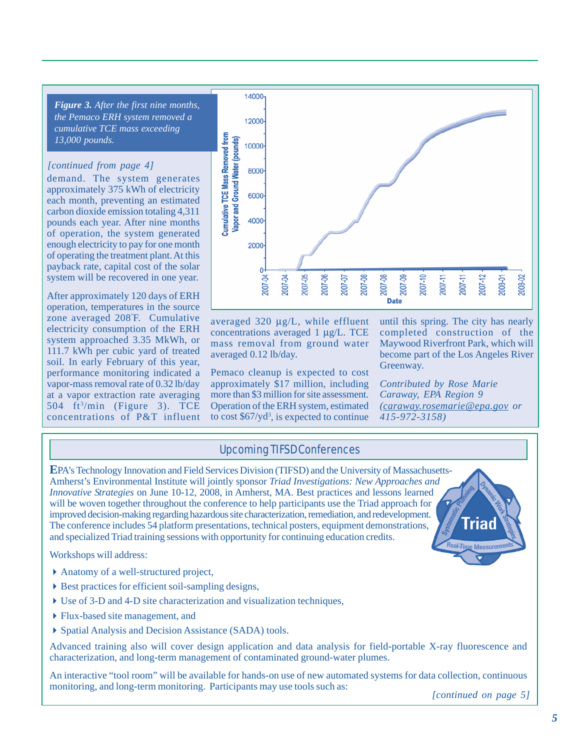*Figure 3. After the first nine months, the Pemaco ERH system removed a cumulative TCE mass exceeding 13,000 pounds.* 

### *[continued from page 4]*

demand. The system generates approximately 375 kWh of electricity each month, preventing an estimated carbon dioxide emission totaling 4,311 pounds each year. After nine months of operation, the system generated enough electricity to pay for one month of operating the treatment plant. At this payback rate, capital cost of the solar system will be recovered in one year.

After approximately 120 days of ERH operation, temperatures in the source zone averaged 208º F. Cumulative electricity consumption of the ERH system approached 3.35 MkWh, or 111.7 kWh per cubic yard of treated soil. In early February of this year, performance monitoring indicated a vapor-mass removal rate of 0.32 lb/day at a vapor extraction rate averaging 504  $ft^3/min$  (Figure 3). TCE concentrations of P&T influent



averaged 320 μg/L, while effluent concentrations averaged 1 μg/L. TCE mass removal from ground water averaged 0.12 lb/day.

Pemaco cleanup is expected to cost approximately \$17 million, including more than \$3 million for site assessment. Operation of the ERH system, estimated to cost  $$67/yd^3$ , is expected to continue until this spring. The city has nearly completed construction of the Maywood Riverfront Park, which will become part of the Los Angeles River Greenway.

*Contributed by Rose Marie Caraway, EPA Region 9 ([caraway.rosemarie@epa.gov or](mailto:caraway.rosemarie@epa.govor415-972-3158) [415-972-3158\)](mailto:caraway.rosemarie@epa.govor415-972-3158)* 

## Upcoming TIFSD Conferences

**E**PA's Technology Innovation and Field Services Division (TIFSD) and the University of Massachusetts-Amherst's Environmental Institute will jointly sponsor *Triad Investigations: New Approaches and Innovative Strategies* on June 10-12, 2008, in Amherst, MA. Best practices and lessons learned will be woven together throughout the conference to help participants use the Triad approach for improved decision-making regarding hazardous site characterization, remediation, and redevelopment. The conference includes 54 platform presentations, technical posters, equipment demonstrations, and specialized Triad training sessions with opportunity for continuing education credits.

Workshops will address:

- Anatomy of a well-structured project,
- $\triangleright$  Best practices for efficient soil-sampling designs,
- Use of 3-D and 4-D site characterization and visualization techniques,
- Flux-based site management, and
- Spatial Analysis and Decision Assistance (SADA) tools.

Advanced training also will cover design application and data analysis for field-portable X-ray fluorescence and characterization, and long-term management of contaminated ground-water plumes.

An interactive "tool room" will be available for hands-on use of new automated systems for data collection, continuous monitoring, and long-term monitoring. Participants may use tools such as:

*[continued on page 5]*